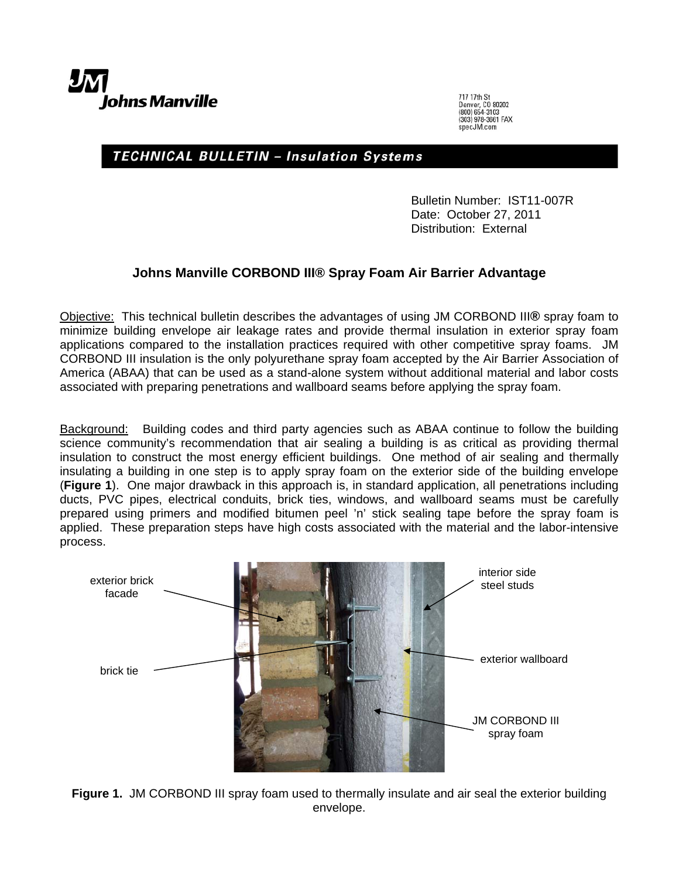

717 17th St 717 17th St<br>Denver, CO 80202<br>(800) 654-3103<br>(303) 978-3661 FAX<br>specJM.com

## TECHNICAL BULLETIN - Insulation Systems

Bulletin Number: IST11-007R Date: October 27, 2011 Distribution: External

## **Johns Manville CORBOND III® Spray Foam Air Barrier Advantage**

Objective: This technical bulletin describes the advantages of using JM CORBOND III**®** spray foam to minimize building envelope air leakage rates and provide thermal insulation in exterior spray foam applications compared to the installation practices required with other competitive spray foams. JM CORBOND III insulation is the only polyurethane spray foam accepted by the Air Barrier Association of America (ABAA) that can be used as a stand-alone system without additional material and labor costs associated with preparing penetrations and wallboard seams before applying the spray foam.

Background: Building codes and third party agencies such as ABAA continue to follow the building science community's recommendation that air sealing a building is as critical as providing thermal insulation to construct the most energy efficient buildings. One method of air sealing and thermally insulating a building in one step is to apply spray foam on the exterior side of the building envelope (**Figure 1**). One major drawback in this approach is, in standard application, all penetrations including ducts, PVC pipes, electrical conduits, brick ties, windows, and wallboard seams must be carefully prepared using primers and modified bitumen peel 'n' stick sealing tape before the spray foam is applied. These preparation steps have high costs associated with the material and the labor-intensive process.



**Figure 1.** JM CORBOND III spray foam used to thermally insulate and air seal the exterior building envelope.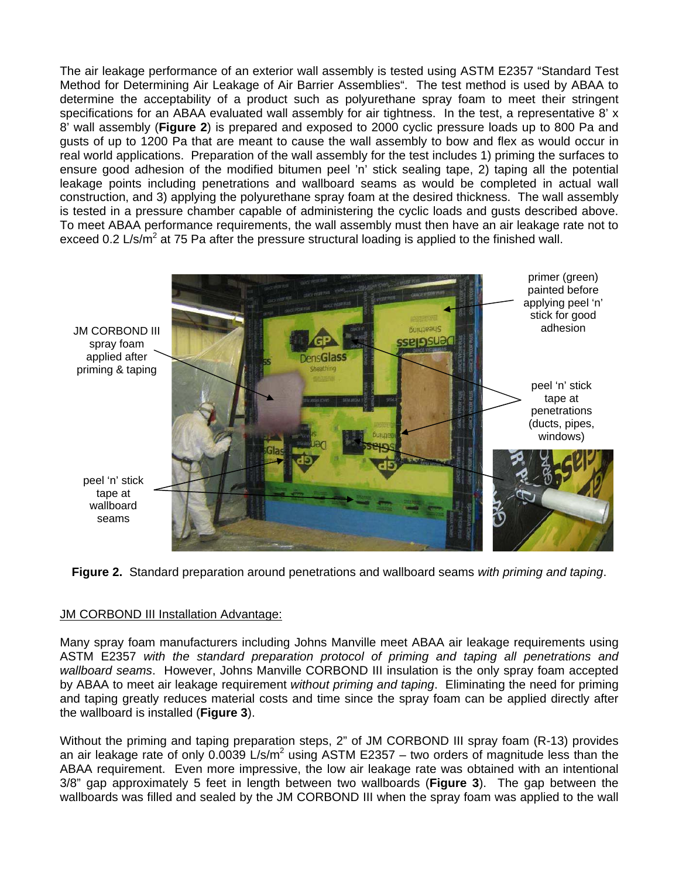The air leakage performance of an exterior wall assembly is tested using ASTM E2357 "Standard Test Method for Determining Air Leakage of Air Barrier Assemblies". The test method is used by ABAA to determine the acceptability of a product such as polyurethane spray foam to meet their stringent specifications for an ABAA evaluated wall assembly for air tightness. In the test, a representative 8' x 8' wall assembly (**Figure 2**) is prepared and exposed to 2000 cyclic pressure loads up to 800 Pa and gusts of up to 1200 Pa that are meant to cause the wall assembly to bow and flex as would occur in real world applications. Preparation of the wall assembly for the test includes 1) priming the surfaces to ensure good adhesion of the modified bitumen peel 'n' stick sealing tape, 2) taping all the potential leakage points including penetrations and wallboard seams as would be completed in actual wall construction, and 3) applying the polyurethane spray foam at the desired thickness. The wall assembly is tested in a pressure chamber capable of administering the cyclic loads and gusts described above. To meet ABAA performance requirements, the wall assembly must then have an air leakage rate not to exceed 0.2 L/s/m<sup>2</sup> at 75 Pa after the pressure structural loading is applied to the finished wall.



**Figure 2.** Standard preparation around penetrations and wallboard seams *with priming and taping*.

## JM CORBOND III Installation Advantage:

Many spray foam manufacturers including Johns Manville meet ABAA air leakage requirements using ASTM E2357 *with the standard preparation protocol of priming and taping all penetrations and wallboard seams*. However, Johns Manville CORBOND III insulation is the only spray foam accepted by ABAA to meet air leakage requirement *without priming and taping*. Eliminating the need for priming and taping greatly reduces material costs and time since the spray foam can be applied directly after the wallboard is installed (**Figure 3**).

Without the priming and taping preparation steps, 2" of JM CORBOND III spray foam (R-13) provides an air leakage rate of only 0.0039 L/s/m<sup>2</sup> using ASTM E2357 – two orders of magnitude less than the ABAA requirement. Even more impressive, the low air leakage rate was obtained with an intentional 3/8" gap approximately 5 feet in length between two wallboards (**Figure 3**). The gap between the wallboards was filled and sealed by the JM CORBOND III when the spray foam was applied to the wall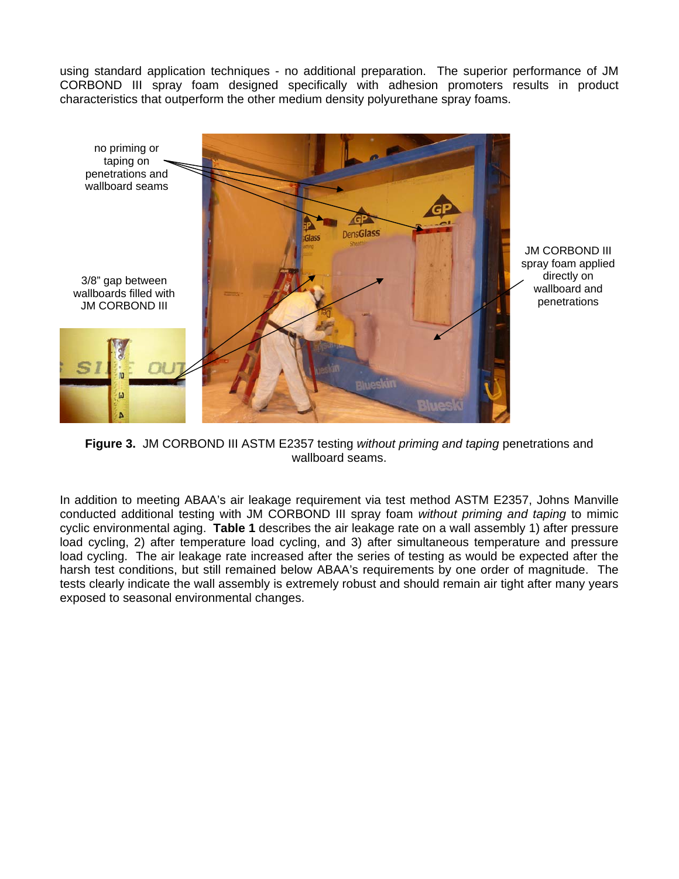using standard application techniques - no additional preparation. The superior performance of JM CORBOND III spray foam designed specifically with adhesion promoters results in product characteristics that outperform the other medium density polyurethane spray foams.



**Figure 3.** JM CORBOND III ASTM E2357 testing *without priming and taping* penetrations and wallboard seams.

In addition to meeting ABAA's air leakage requirement via test method ASTM E2357, Johns Manville conducted additional testing with JM CORBOND III spray foam *without priming and taping* to mimic cyclic environmental aging. **Table 1** describes the air leakage rate on a wall assembly 1) after pressure load cycling, 2) after temperature load cycling, and 3) after simultaneous temperature and pressure load cycling. The air leakage rate increased after the series of testing as would be expected after the harsh test conditions, but still remained below ABAA's requirements by one order of magnitude. The tests clearly indicate the wall assembly is extremely robust and should remain air tight after many years exposed to seasonal environmental changes.